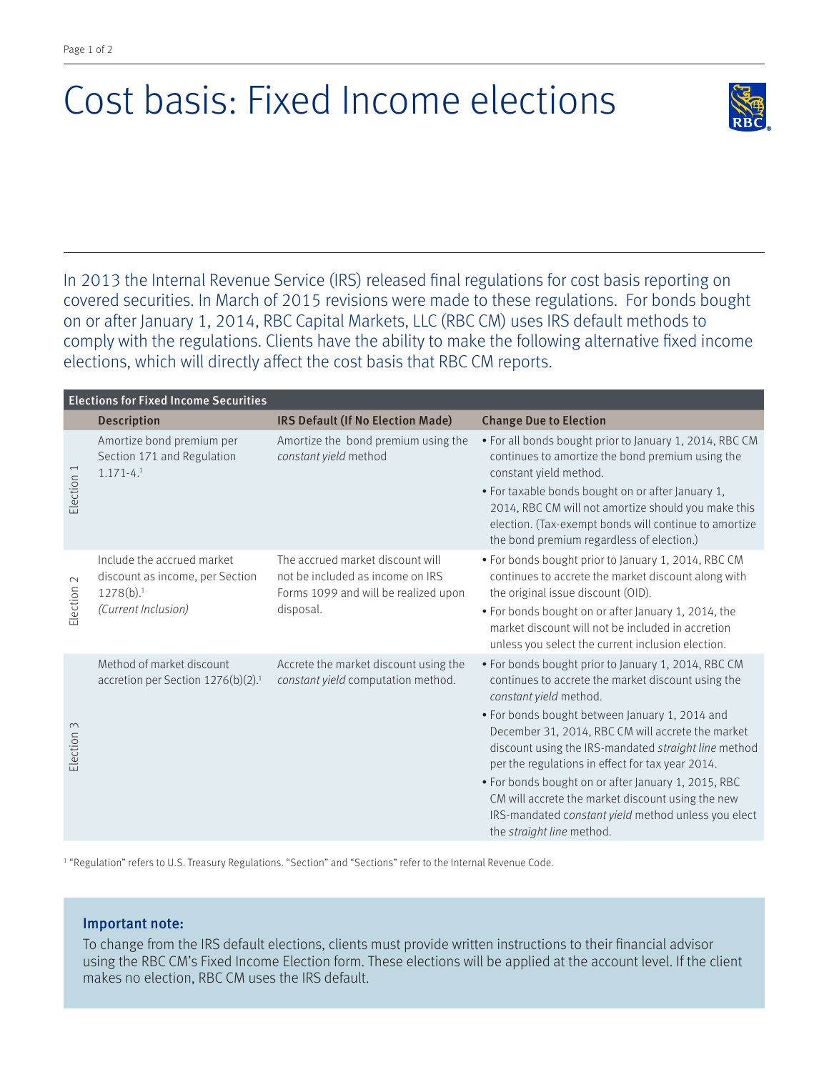## Cost basis: Fixed Income elections



In 2013 the Internal Revenue Service (IRS) released final regulations for cost basis reporting on covered securities. In March of 2015 revisions were made to these regulations. For bonds bought on or after January 1, 2014, RBC Capital Markets, LLC (RBC CM) uses IRS default methods to comply with the regulations. Clients have the ability to make the following alternative fixed income elections, which will directly affect the cost basis that RBC CM reports.

| <b>Elections for Fixed Income Securities</b> |                                                                                                               |                                                                                                                           |                                                                                                                                                                                                                 |
|----------------------------------------------|---------------------------------------------------------------------------------------------------------------|---------------------------------------------------------------------------------------------------------------------------|-----------------------------------------------------------------------------------------------------------------------------------------------------------------------------------------------------------------|
|                                              | Description                                                                                                   | IRS Default (If No Election Made)                                                                                         | <b>Change Due to Election</b>                                                                                                                                                                                   |
| Election 1                                   | Amortize bond premium per<br>Section 171 and Regulation<br>$1.171 - 4.1$                                      | Amortize the bond premium using the<br>constant yield method                                                              | . For all bonds bought prior to January 1, 2014, RBC CM<br>continues to amortize the bond premium using the<br>constant yield method.                                                                           |
|                                              |                                                                                                               |                                                                                                                           | • For taxable bonds bought on or after January 1,<br>2014, RBC CM will not amortize should you make this<br>election. (Tax-exempt bonds will continue to amortize<br>the bond premium regardless of election.)  |
| $\mathbb{\sim}$<br>Election                  | Include the accrued market<br>discount as income, per Section<br>1278(b). <sup>1</sup><br>(Current Inclusion) | The accrued market discount will<br>not be included as income on IRS<br>Forms 1099 and will be realized upon<br>disposal. | • For bonds bought prior to January 1, 2014, RBC CM<br>continues to accrete the market discount along with<br>the original issue discount (OID).                                                                |
|                                              |                                                                                                               |                                                                                                                           | • For bonds bought on or after January 1, 2014, the<br>market discount will not be included in accretion<br>unless you select the current inclusion election.                                                   |
| Election 3                                   | Method of market discount<br>accretion per Section 1276(b)(2). <sup>1</sup>                                   | Accrete the market discount using the<br>constant yield computation method.                                               | • For bonds bought prior to January 1, 2014, RBC CM<br>continues to accrete the market discount using the<br>constant yield method.                                                                             |
|                                              |                                                                                                               |                                                                                                                           | · For bonds bought between January 1, 2014 and<br>December 31, 2014, RBC CM will accrete the market<br>discount using the IRS-mandated straight line method<br>per the regulations in effect for tax year 2014. |
|                                              |                                                                                                               |                                                                                                                           | . For bonds bought on or after January 1, 2015, RBC<br>CM will accrete the market discount using the new<br>IRS-mandated constant yield method unless you elect<br>the straight line method.                    |

1 "Regulation" refers to U.S. Treasury Regulations. "Section" and "Sections" refer to the Internal Revenue Code.

## Important note:

To change from the IRS default elections, clients must provide written instructions to their financial advisor using the RBC CM's Fixed Income Election form. These elections will be applied at the account level. If the client makes no election, RBC CM uses the IRS default.